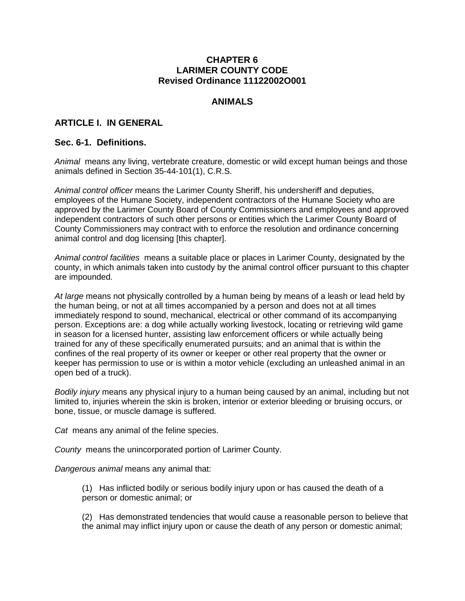#### **CHAPTER 6 LARIMER COUNTY CODE Revised Ordinance 11122002O001**

### **ANIMALS**

# **ARTICLE I. IN GENERAL**

### **Sec. 6-1. Definitions.**

 *Animal* means any living, vertebrate creature, domestic or wild except human beings and those animals defined in Section 35-44-101(1), C.R.S.

 animal control and dog licensing [this chapter]. *Animal control officer* means the Larimer County Sheriff, his undersheriff and deputies, employees of the Humane Society, independent contractors of the Humane Society who are approved by the Larimer County Board of County Commissioners and employees and approved independent contractors of such other persons or entities which the Larimer County Board of County Commissioners may contract with to enforce the resolution and ordinance concerning

 *Animal control facilities* means a suitable place or places in Larimer County, designated by the are impounded. county, in which animals taken into custody by the animal control officer pursuant to this chapter

 immediately respond to sound, mechanical, electrical or other command of its accompanying open bed of a truck). *At large* means not physically controlled by a human being by means of a leash or lead held by the human being, or not at all times accompanied by a person and does not at all times person. Exceptions are: a dog while actually working livestock, locating or retrieving wild game in season for a licensed hunter, assisting law enforcement officers or while actually being trained for any of these specifically enumerated pursuits; and an animal that is within the confines of the real property of its owner or keeper or other real property that the owner or keeper has permission to use or is within a motor vehicle (excluding an unleashed animal in an

 bone, tissue, or muscle damage is suffered. *Bodily injury* means any physical injury to a human being caused by an animal, including but not limited to, injuries wherein the skin is broken, interior or exterior bleeding or bruising occurs, or

*Cat* means any animal of the feline species.

*County* means the unincorporated portion of Larimer County.

*Dangerous animal* means any animal that:

 (1) Has inflicted bodily or serious bodily injury upon or has caused the death of a person or domestic animal; or

 (2) Has demonstrated tendencies that would cause a reasonable person to believe that the animal may inflict injury upon or cause the death of any person or domestic animal;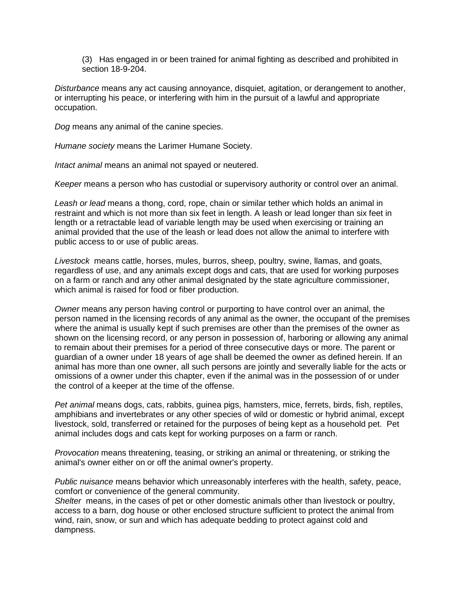(3) Has engaged in or been trained for animal fighting as described and prohibited in section 18-9-204.

 occupation. *Disturbance* means any act causing annoyance, disquiet, agitation, or derangement to another, or interrupting his peace, or interfering with him in the pursuit of a lawful and appropriate

*Dog* means any animal of the canine species.

*Humane society* means the Larimer Humane Society.

*Intact animal* means an animal not spayed or neutered.

*Keeper* means a person who has custodial or supervisory authority or control over an animal.

 restraint and which is not more than six feet in length. A leash or lead longer than six feet in public access to or use of public areas. *Leash or lead* means a thong, cord, rope, chain or similar tether which holds an animal in length or a retractable lead of variable length may be used when exercising or training an animal provided that the use of the leash or lead does not allow the animal to interfere with

 *Livestock* means cattle, horses, mules, burros, sheep, poultry, swine, llamas, and goats, which animal is raised for food or fiber production. regardless of use, and any animals except dogs and cats, that are used for working purposes on a farm or ranch and any other animal designated by the state agriculture commissioner,

 to remain about their premises for a period of three consecutive days or more. The parent or the control of a keeper at the time of the offense. *Owner* means any person having control or purporting to have control over an animal, the person named in the licensing records of any animal as the owner, the occupant of the premises where the animal is usually kept if such premises are other than the premises of the owner as shown on the licensing record, or any person in possession of, harboring or allowing any animal guardian of a owner under 18 years of age shall be deemed the owner as defined herein. If an animal has more than one owner, all such persons are jointly and severally liable for the acts or omissions of a owner under this chapter, even if the animal was in the possession of or under

 livestock, sold, transferred or retained for the purposes of being kept as a household pet. Pet animal includes dogs and cats kept for working purposes on a farm or ranch. *Pet animal* means dogs, cats, rabbits, guinea pigs, hamsters, mice, ferrets, birds, fish, reptiles, amphibians and invertebrates or any other species of wild or domestic or hybrid animal, except

 *Provocation* means threatening, teasing, or striking an animal or threatening, or striking the animal's owner either on or off the animal owner's property.

 comfort or convenience of the general community. *Public nuisance* means behavior which unreasonably interferes with the health, safety, peace,

 *Shelter* means, in the cases of pet or other domestic animals other than livestock or poultry, wind, rain, snow, or sun and which has adequate bedding to protect against cold and dampness. access to a barn, dog house or other enclosed structure sufficient to protect the animal from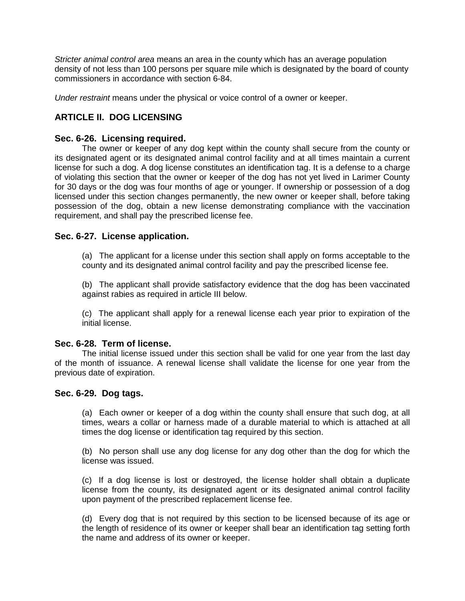commissioners in accordance with section 6-84. *Stricter animal control area* means an area in the county which has an average population density of not less than 100 persons per square mile which is designated by the board of county

*Under restraint* means under the physical or voice control of a owner or keeper.

# **ARTICLE II. DOG LICENSING**

# **Sec. 6-26. Licensing required.**

 The owner or keeper of any dog kept within the county shall secure from the county or license for such a dog. A dog license constitutes an identification tag. It is a defense to a charge possession of the dog, obtain a new license demonstrating compliance with the vaccination its designated agent or its designated animal control facility and at all times maintain a current of violating this section that the owner or keeper of the dog has not yet lived in Larimer County for 30 days or the dog was four months of age or younger. If ownership or possession of a dog licensed under this section changes permanently, the new owner or keeper shall, before taking requirement, and shall pay the prescribed license fee.

# **Sec. 6-27. License application.**

 (a) The applicant for a license under this section shall apply on forms acceptable to the county and its designated animal control facility and pay the prescribed license fee.

 (b) The applicant shall provide satisfactory evidence that the dog has been vaccinated against rabies as required in article III below.

 (c) The applicant shall apply for a renewal license each year prior to expiration of the initial license.

# **Sec. 6-28. Term of license.**

The initial license issued under this section shall be valid for one year from the last day of the month of issuance. A renewal license shall validate the license for one year from the previous date of expiration.

# **Sec. 6-29. Dog tags.**

 (a) Each owner or keeper of a dog within the county shall ensure that such dog, at all times, wears a collar or harness made of a durable material to which is attached at all times the dog license or identification tag required by this section.

 (b) No person shall use any dog license for any dog other than the dog for which the license was issued.

 (c) If a dog license is lost or destroyed, the license holder shall obtain a duplicate license from the county, its designated agent or its designated animal control facility upon payment of the prescribed replacement license fee.

 (d) Every dog that is not required by this section to be licensed because of its age or the length of residence of its owner or keeper shall bear an identification tag setting forth the name and address of its owner or keeper.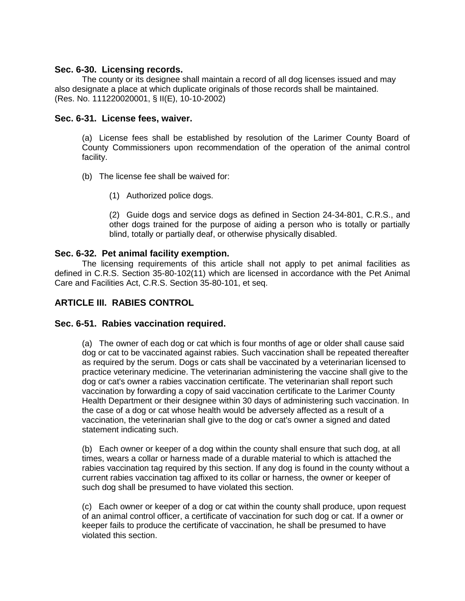### **Sec. 6-30. Licensing records.**

The county or its designee shall maintain a record of all dog licenses issued and may also designate a place at which duplicate originals of those records shall be maintained. (Res. No. 111220020001, § II(E), 10-10-2002)

# **Sec. 6-31. License fees, waiver.**

 (a) License fees shall be established by resolution of the Larimer County Board of County Commissioners upon recommendation of the operation of the animal control facility.

- (b) The license fee shall be waived for:
	- (1) Authorized police dogs.

 (2) Guide dogs and service dogs as defined in Section 24-34-801, C.R.S., and other dogs trained for the purpose of aiding a person who is totally or partially blind, totally or partially deaf, or otherwise physically disabled.

### **Sec. 6-32. Pet animal facility exemption.**

 The licensing requirements of this article shall not apply to pet animal facilities as defined in C.R.S. Section 35-80-102(11) which are licensed in accordance with the Pet Animal Care and Facilities Act, C.R.S. Section 35-80-101, et seq.

# **ARTICLE III. RABIES CONTROL**

### **Sec. 6-51. Rabies vaccination required.**

 (a) The owner of each dog or cat which is four months of age or older shall cause said dog or cat to be vaccinated against rabies. Such vaccination shall be repeated thereafter as required by the serum. Dogs or cats shall be vaccinated by a veterinarian licensed to practice veterinary medicine. The veterinarian administering the vaccine shall give to the dog or cat's owner a rabies vaccination certificate. The veterinarian shall report such vaccination by forwarding a copy of said vaccination certificate to the Larimer County Health Department or their designee within 30 days of administering such vaccination. In the case of a dog or cat whose health would be adversely affected as a result of a vaccination, the veterinarian shall give to the dog or cat's owner a signed and dated statement indicating such.

 (b) Each owner or keeper of a dog within the county shall ensure that such dog, at all rabies vaccination tag required by this section. If any dog is found in the county without a current rabies vaccination tag affixed to its collar or harness, the owner or keeper of times, wears a collar or harness made of a durable material to which is attached the such dog shall be presumed to have violated this section.

 (c) Each owner or keeper of a dog or cat within the county shall produce, upon request of an animal control officer, a certificate of vaccination for such dog or cat. If a owner or keeper fails to produce the certificate of vaccination, he shall be presumed to have violated this section.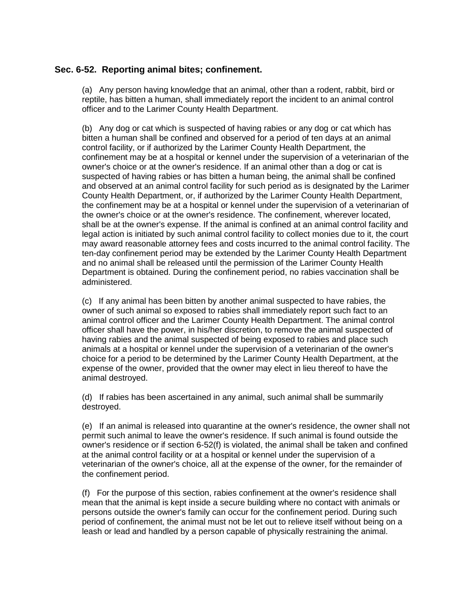# **Sec. 6-52. Reporting animal bites; confinement.**

 (a) Any person having knowledge that an animal, other than a rodent, rabbit, bird or reptile, has bitten a human, shall immediately report the incident to an animal control officer and to the Larimer County Health Department.

 (b) Any dog or cat which is suspected of having rabies or any dog or cat which has confinement may be at a hospital or kennel under the supervision of a veterinarian of the owner's choice or at the owner's residence. If an animal other than a dog or cat is and observed at an animal control facility for such period as is designated by the Larimer the owner's choice or at the owner's residence. The confinement, wherever located, legal action is initiated by such animal control facility to collect monies due to it, the court may award reasonable attorney fees and costs incurred to the animal control facility. The Department is obtained. During the confinement period, no rabies vaccination shall be bitten a human shall be confined and observed for a period of ten days at an animal control facility, or if authorized by the Larimer County Health Department, the suspected of having rabies or has bitten a human being, the animal shall be confined County Health Department, or, if authorized by the Larimer County Health Department, the confinement may be at a hospital or kennel under the supervision of a veterinarian of shall be at the owner's expense. If the animal is confined at an animal control facility and ten-day confinement period may be extended by the Larimer County Health Department and no animal shall be released until the permission of the Larimer County Health administered.

 (c) If any animal has been bitten by another animal suspected to have rabies, the owner of such animal so exposed to rabies shall immediately report such fact to an expense of the owner, provided that the owner may elect in lieu thereof to have the animal control officer and the Larimer County Health Department. The animal control officer shall have the power, in his/her discretion, to remove the animal suspected of having rabies and the animal suspected of being exposed to rabies and place such animals at a hospital or kennel under the supervision of a veterinarian of the owner's choice for a period to be determined by the Larimer County Health Department, at the animal destroyed.

 (d) If rabies has been ascertained in any animal, such animal shall be summarily destroyed.

 (e) If an animal is released into quarantine at the owner's residence, the owner shall not permit such animal to leave the owner's residence. If such animal is found outside the veterinarian of the owner's choice, all at the expense of the owner, for the remainder of owner's residence or if section 6-52(f) is violated, the animal shall be taken and confined at the animal control facility or at a hospital or kennel under the supervision of a the confinement period.

 (f) For the purpose of this section, rabies confinement at the owner's residence shall period of confinement, the animal must not be let out to relieve itself without being on a mean that the animal is kept inside a secure building where no contact with animals or persons outside the owner's family can occur for the confinement period. During such leash or lead and handled by a person capable of physically restraining the animal.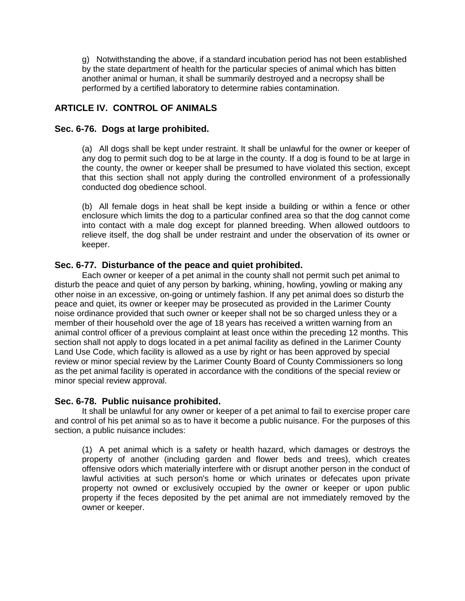g) Notwithstanding the above, if a standard incubation period has not been established by the state department of health for the particular species of animal which has bitten another animal or human, it shall be summarily destroyed and a necropsy shall be performed by a certified laboratory to determine rabies contamination.

# **ARTICLE IV. CONTROL OF ANIMALS**

# **Sec. 6-76. Dogs at large prohibited.**

 (a) All dogs shall be kept under restraint. It shall be unlawful for the owner or keeper of any dog to permit such dog to be at large in the county. If a dog is found to be at large in that this section shall not apply during the controlled environment of a professionally the county, the owner or keeper shall be presumed to have violated this section, except conducted dog obedience school.

 (b) All female dogs in heat shall be kept inside a building or within a fence or other enclosure which limits the dog to a particular confined area so that the dog cannot come relieve itself, the dog shall be under restraint and under the observation of its owner or into contact with a male dog except for planned breeding. When allowed outdoors to keeper.

# **Sec. 6-77. Disturbance of the peace and quiet prohibited.**

 Each owner or keeper of a pet animal in the county shall not permit such pet animal to peace and quiet, its owner or keeper may be prosecuted as provided in the Larimer County noise ordinance provided that such owner or keeper shall not be so charged unless they or a animal control officer of a previous complaint at least once within the preceding 12 months. This disturb the peace and quiet of any person by barking, whining, howling, yowling or making any other noise in an excessive, on-going or untimely fashion. If any pet animal does so disturb the member of their household over the age of 18 years has received a written warning from an section shall not apply to dogs located in a pet animal facility as defined in the Larimer County Land Use Code, which facility is allowed as a use by right or has been approved by special review or minor special review by the Larimer County Board of County Commissioners so long as the pet animal facility is operated in accordance with the conditions of the special review or minor special review approval.

### **Sec. 6-78. Public nuisance prohibited.**

 and control of his pet animal so as to have it become a public nuisance. For the purposes of this It shall be unlawful for any owner or keeper of a pet animal to fail to exercise proper care section, a public nuisance includes:

 (1) A pet animal which is a safety or health hazard, which damages or destroys the offensive odors which materially interfere with or disrupt another person in the conduct of property of another (including garden and flower beds and trees), which creates lawful activities at such person's home or which urinates or defecates upon private property not owned or exclusively occupied by the owner or keeper or upon public property if the feces deposited by the pet animal are not immediately removed by the owner or keeper.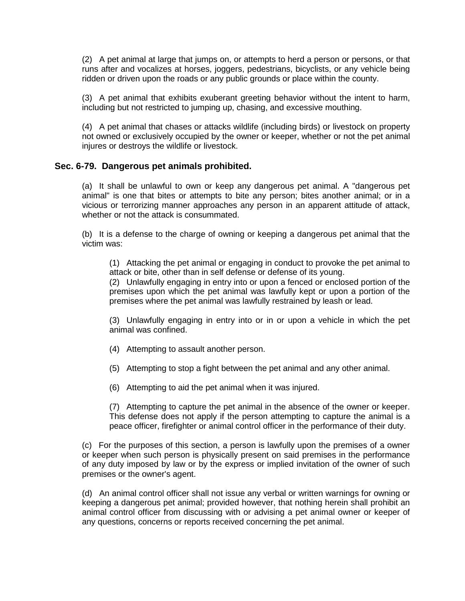(2) A pet animal at large that jumps on, or attempts to herd a person or persons, or that runs after and vocalizes at horses, joggers, pedestrians, bicyclists, or any vehicle being ridden or driven upon the roads or any public grounds or place within the county.

 (3) A pet animal that exhibits exuberant greeting behavior without the intent to harm, including but not restricted to jumping up, chasing, and excessive mouthing.

 (4) A pet animal that chases or attacks wildlife (including birds) or livestock on property not owned or exclusively occupied by the owner or keeper, whether or not the pet animal injures or destroys the wildlife or livestock.

### **Sec. 6-79. Dangerous pet animals prohibited.**

 (a) It shall be unlawful to own or keep any dangerous pet animal. A "dangerous pet vicious or terrorizing manner approaches any person in an apparent attitude of attack, whether or not the attack is consummated. animal" is one that bites or attempts to bite any person; bites another animal; or in a

 (b) It is a defense to the charge of owning or keeping a dangerous pet animal that the victim was:

 (1) Attacking the pet animal or engaging in conduct to provoke the pet animal to attack or bite, other than in self defense or defense of its young.

 (2) Unlawfully engaging in entry into or upon a fenced or enclosed portion of the premises upon which the pet animal was lawfully kept or upon a portion of the premises where the pet animal was lawfully restrained by leash or lead.

 (3) Unlawfully engaging in entry into or in or upon a vehicle in which the pet animal was confined.

- (4) Attempting to assault another person.
- (5) Attempting to stop a fight between the pet animal and any other animal.
- (6) Attempting to aid the pet animal when it was injured.

 (7) Attempting to capture the pet animal in the absence of the owner or keeper. peace officer, firefighter or animal control officer in the performance of their duty. This defense does not apply if the person attempting to capture the animal is a

 (c) For the purposes of this section, a person is lawfully upon the premises of a owner or keeper when such person is physically present on said premises in the performance of any duty imposed by law or by the express or implied invitation of the owner of such premises or the owner's agent.

 (d) An animal control officer shall not issue any verbal or written warnings for owning or animal control officer from discussing with or advising a pet animal owner or keeper of any questions, concerns or reports received concerning the pet animal. keeping a dangerous pet animal; provided however, that nothing herein shall prohibit an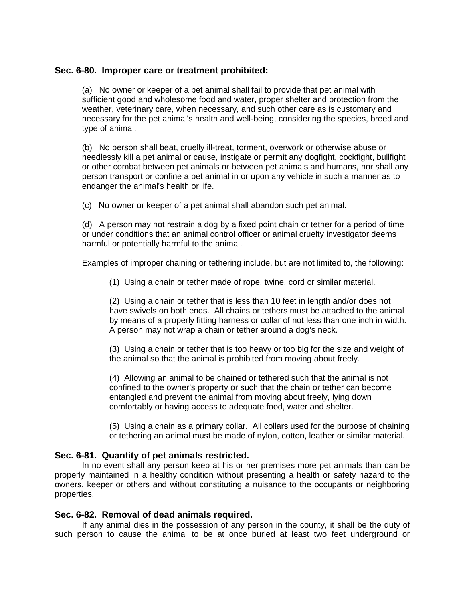# **Sec. 6-80. Improper care or treatment prohibited:**

 (a) No owner or keeper of a pet animal shall fail to provide that pet animal with necessary for the pet animal's health and well-being, considering the species, breed and sufficient good and wholesome food and water, proper shelter and protection from the weather, veterinary care, when necessary, and such other care as is customary and type of animal.

 (b) No person shall beat, cruelly ill-treat, torment, overwork or otherwise abuse or needlessly kill a pet animal or cause, instigate or permit any dogfight, cockfight, bullfight or other combat between pet animals or between pet animals and humans, nor shall any person transport or confine a pet animal in or upon any vehicle in such a manner as to endanger the animal's health or life.

(c) No owner or keeper of a pet animal shall abandon such pet animal.

 (d) A person may not restrain a dog by a fixed point chain or tether for a period of time or under conditions that an animal control officer or animal cruelty investigator deems harmful or potentially harmful to the animal.

Examples of improper chaining or tethering include, but are not limited to, the following:

(1) Using a chain or tether made of rope, twine, cord or similar material.

 (2) Using a chain or tether that is less than 10 feet in length and/or does not have swivels on both ends. All chains or tethers must be attached to the animal by means of a properly fitting harness or collar of not less than one inch in width. A person may not wrap a chain or tether around a dog's neck.

 (3) Using a chain or tether that is too heavy or too big for the size and weight of the animal so that the animal is prohibited from moving about freely.

 (4) Allowing an animal to be chained or tethered such that the animal is not entangled and prevent the animal from moving about freely, lying down confined to the owner's property or such that the chain or tether can become comfortably or having access to adequate food, water and shelter.

 (5) Using a chain as a primary collar. All collars used for the purpose of chaining or tethering an animal must be made of nylon, cotton, leather or similar material.

### **Sec. 6-81. Quantity of pet animals restricted.**

 properly maintained in a healthy condition without presenting a health or safety hazard to the owners, keeper or others and without constituting a nuisance to the occupants or neighboring In no event shall any person keep at his or her premises more pet animals than can be properties.

#### **Sec. 6-82. Removal of dead animals required.**

 If any animal dies in the possession of any person in the county, it shall be the duty of such person to cause the animal to be at once buried at least two feet underground or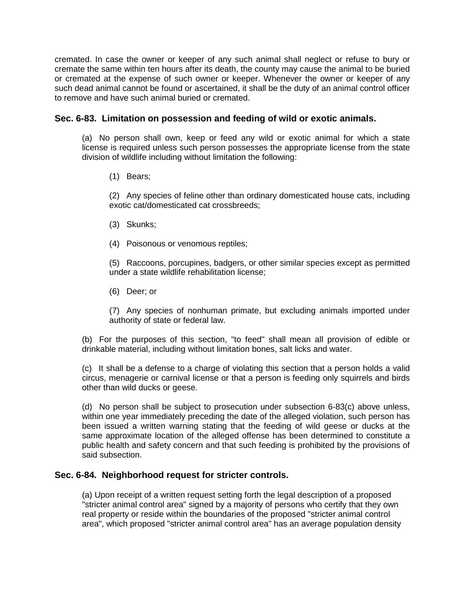cremated. In case the owner or keeper of any such animal shall neglect or refuse to bury or cremate the same within ten hours after its death, the county may cause the animal to be buried or cremated at the expense of such owner or keeper. Whenever the owner or keeper of any such dead animal cannot be found or ascertained, it shall be the duty of an animal control officer to remove and have such animal buried or cremated.

# **Sec. 6-83. Limitation on possession and feeding of wild or exotic animals.**

 (a) No person shall own, keep or feed any wild or exotic animal for which a state license is required unless such person possesses the appropriate license from the state division of wildlife including without limitation the following:

(1) Bears;

 (2) Any species of feline other than ordinary domesticated house cats, including exotic cat/domesticated cat crossbreeds;

- (3) Skunks;
- (4) Poisonous or venomous reptiles;

 (5) Raccoons, porcupines, badgers, or other similar species except as permitted under a state wildlife rehabilitation license;

(6) Deer; or

 (7) Any species of nonhuman primate, but excluding animals imported under authority of state or federal law.

 (b) For the purposes of this section, "to feed" shall mean all provision of edible or drinkable material, including without limitation bones, salt licks and water.

 (c) It shall be a defense to a charge of violating this section that a person holds a valid circus, menagerie or carnival license or that a person is feeding only squirrels and birds other than wild ducks or geese.

 (d) No person shall be subject to prosecution under subsection 6-83(c) above unless, within one year immediately preceding the date of the alleged violation, such person has been issued a written warning stating that the feeding of wild geese or ducks at the same approximate location of the alleged offense has been determined to constitute a public health and safety concern and that such feeding is prohibited by the provisions of said subsection.

# **Sec. 6-84. Neighborhood request for stricter controls.**

(a) Upon receipt of a written request setting forth the legal description of a proposed "stricter animal control area" signed by a majority of persons who certify that they own real property or reside within the boundaries of the proposed "stricter animal control area", which proposed "stricter animal control area" has an average population density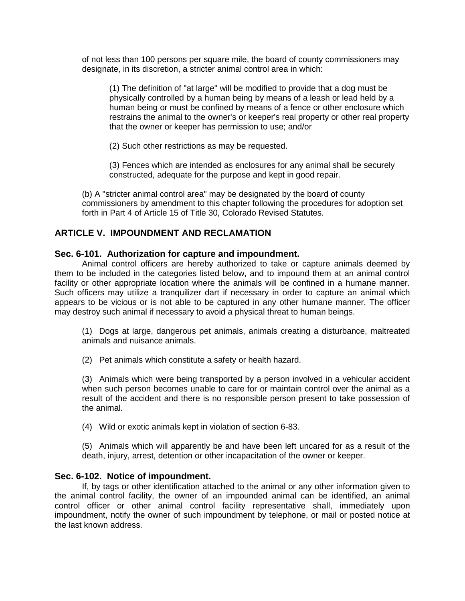of not less than 100 persons per square mile, the board of county commissioners may designate, in its discretion, a stricter animal control area in which:

 human being or must be confined by means of a fence or other enclosure which that the owner or keeper has permission to use; and/or (1) The definition of "at large" will be modified to provide that a dog must be physically controlled by a human being by means of a leash or lead held by a restrains the animal to the owner's or keeper's real property or other real property

(2) Such other restrictions as may be requested.

 (3) Fences which are intended as enclosures for any animal shall be securely constructed, adequate for the purpose and kept in good repair.

 commissioners by amendment to this chapter following the procedures for adoption set (b) A "stricter animal control area" may be designated by the board of county forth in Part 4 of Article 15 of Title 30, Colorado Revised Statutes.

#### **ARTICLE V. IMPOUNDMENT AND RECLAMATION**

#### **Sec. 6-101. Authorization for capture and impoundment.**

 them to be included in the categories listed below, and to impound them at an animal control appears to be vicious or is not able to be captured in any other humane manner. The officer may destroy such animal if necessary to avoid a physical threat to human beings. Animal control officers are hereby authorized to take or capture animals deemed by facility or other appropriate location where the animals will be confined in a humane manner. Such officers may utilize a tranquilizer dart if necessary in order to capture an animal which

 (1) Dogs at large, dangerous pet animals, animals creating a disturbance, maltreated animals and nuisance animals.

(2) Pet animals which constitute a safety or health hazard.

 (3) Animals which were being transported by a person involved in a vehicular accident when such person becomes unable to care for or maintain control over the animal as a result of the accident and there is no responsible person present to take possession of the animal.

(4) Wild or exotic animals kept in violation of section 6-83.

 (5) Animals which will apparently be and have been left uncared for as a result of the death, injury, arrest, detention or other incapacitation of the owner or keeper.

#### **Sec. 6-102. Notice of impoundment.**

If, by tags or other identification attached to the animal or any other information given to the animal control facility, the owner of an impounded animal can be identified, an animal control officer or other animal control facility representative shall, immediately upon impoundment, notify the owner of such impoundment by telephone, or mail or posted notice at the last known address.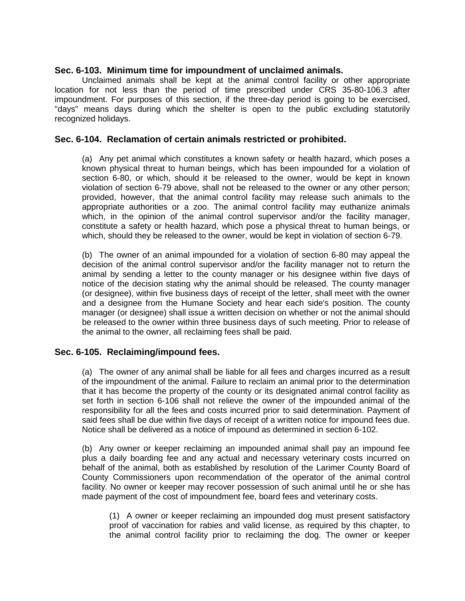# **Sec. 6-103. Minimum time for impoundment of unclaimed animals.**

 location for not less than the period of time prescribed under CRS 35-80-106.3 after impoundment. For purposes of this section, if the three-day period is going to be exercised, Unclaimed animals shall be kept at the animal control facility or other appropriate "days" means days during which the shelter is open to the public excluding statutorily recognized holidays.

# **Sec. 6-104. Reclamation of certain animals restricted or prohibited.**

 (a) Any pet animal which constitutes a known safety or health hazard, which poses a appropriate authorities or a zoo. The animal control facility may euthanize animals constitute a safety or health hazard, which pose a physical threat to human beings, or known physical threat to human beings, which has been impounded for a violation of section 6-80, or which, should it be released to the owner, would be kept in known violation of section 6-79 above, shall not be released to the owner or any other person; provided, however, that the animal control facility may release such animals to the which, in the opinion of the animal control supervisor and/or the facility manager, which, should they be released to the owner, would be kept in violation of section 6-79.

 (b) The owner of an animal impounded for a violation of section 6-80 may appeal the (or designee), within five business days of receipt of the letter, shall meet with the owner be released to the owner within three business days of such meeting. Prior to release of decision of the animal control supervisor and/or the facility manager not to return the animal by sending a letter to the county manager or his designee within five days of notice of the decision stating why the animal should be released. The county manager and a designee from the Humane Society and hear each side's position. The county manager (or designee) shall issue a written decision on whether or not the animal should the animal to the owner, all reclaiming fees shall be paid.

# **Sec. 6-105. Reclaiming/impound fees.**

 (a) The owner of any animal shall be liable for all fees and charges incurred as a result of the impoundment of the animal. Failure to reclaim an animal prior to the determination that it has become the property of the county or its designated animal control facility as set forth in section 6-106 shall not relieve the owner of the impounded animal of the responsibility for all the fees and costs incurred prior to said determination. Payment of said fees shall be due within five days of receipt of a written notice for impound fees due. Notice shall be delivered as a notice of impound as determined in section 6-102.

 (b) Any owner or keeper reclaiming an impounded animal shall pay an impound fee plus a daily boarding fee and any actual and necessary veterinary costs incurred on behalf of the animal, both as established by resolution of the Larimer County Board of County Commissioners upon recommendation of the operator of the animal control facility. No owner or keeper may recover possession of such animal until he or she has made payment of the cost of impoundment fee, board fees and veterinary costs.

 (1) A owner or keeper reclaiming an impounded dog must present satisfactory proof of vaccination for rabies and valid license, as required by this chapter, to the animal control facility prior to reclaiming the dog. The owner or keeper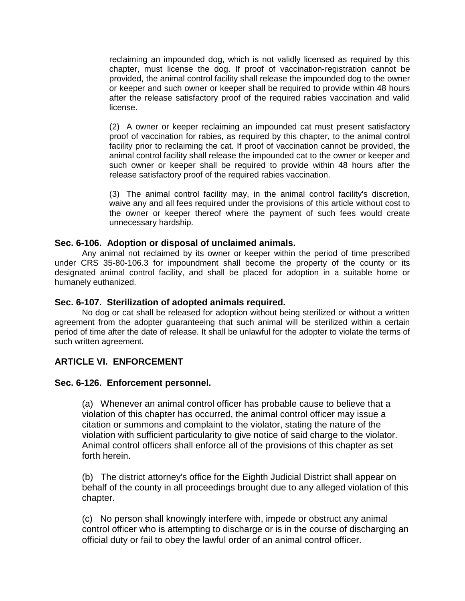reclaiming an impounded dog, which is not validly licensed as required by this provided, the animal control facility shall release the impounded dog to the owner chapter, must license the dog. If proof of vaccination-registration cannot be or keeper and such owner or keeper shall be required to provide within 48 hours after the release satisfactory proof of the required rabies vaccination and valid license.

 (2) A owner or keeper reclaiming an impounded cat must present satisfactory animal control facility shall release the impounded cat to the owner or keeper and such owner or keeper shall be required to provide within 48 hours after the proof of vaccination for rabies, as required by this chapter, to the animal control facility prior to reclaiming the cat. If proof of vaccination cannot be provided, the release satisfactory proof of the required rabies vaccination.

 (3) The animal control facility may, in the animal control facility's discretion, waive any and all fees required under the provisions of this article without cost to the owner or keeper thereof where the payment of such fees would create unnecessary hardship.

# **Sec. 6-106. Adoption or disposal of unclaimed animals.**

 designated animal control facility, and shall be placed for adoption in a suitable home or Any animal not reclaimed by its owner or keeper within the period of time prescribed under CRS 35-80-106.3 for impoundment shall become the property of the county or its humanely euthanized.

# **Sec. 6-107. Sterilization of adopted animals required.**

 period of time after the date of release. It shall be unlawful for the adopter to violate the terms of No dog or cat shall be released for adoption without being sterilized or without a written agreement from the adopter guaranteeing that such animal will be sterilized within a certain such written agreement.

# **ARTICLE VI. ENFORCEMENT**

# **Sec. 6-126. Enforcement personnel.**

 (a) Whenever an animal control officer has probable cause to believe that a violation of this chapter has occurred, the animal control officer may issue a citation or summons and complaint to the violator, stating the nature of the violation with sufficient particularity to give notice of said charge to the violator. Animal control officers shall enforce all of the provisions of this chapter as set forth herein.

 (b) The district attorney's office for the Eighth Judicial District shall appear on behalf of the county in all proceedings brought due to any alleged violation of this chapter.

 (c) No person shall knowingly interfere with, impede or obstruct any animal control officer who is attempting to discharge or is in the course of discharging an official duty or fail to obey the lawful order of an animal control officer.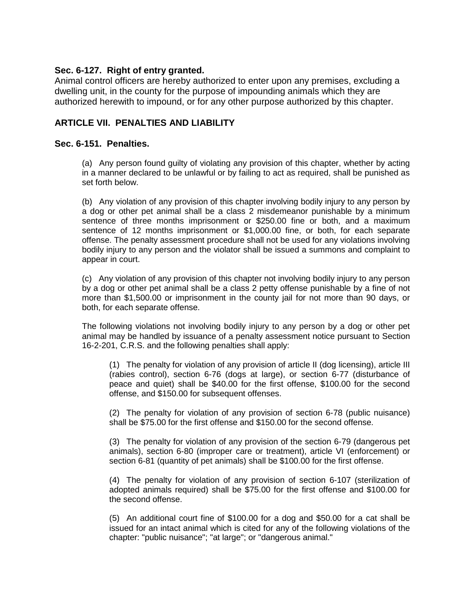# **Sec. 6-127. Right of entry granted.**

Animal control officers are hereby authorized to enter upon any premises, excluding a dwelling unit, in the county for the purpose of impounding animals which they are authorized herewith to impound, or for any other purpose authorized by this chapter.

# **ARTICLE VII. PENALTIES AND LIABILITY**

# **Sec. 6-151. Penalties.**

 (a) Any person found guilty of violating any provision of this chapter, whether by acting in a manner declared to be unlawful or by failing to act as required, shall be punished as set forth below.

 (b) Any violation of any provision of this chapter involving bodily injury to any person by sentence of 12 months imprisonment or [\\$1,000.00](https://1,000.00) fine, or both, for each separate a dog or other pet animal shall be a class 2 misdemeanor punishable by a minimum sentence of three months imprisonment or \$250.00 fine or both, and a maximum offense. The penalty assessment procedure shall not be used for any violations involving bodily injury to any person and the violator shall be issued a summons and complaint to appear in court.

 (c) Any violation of any provision of this chapter not involving bodily injury to any person by a dog or other pet animal shall be a class 2 petty offense punishable by a fine of not more than \$[1,500.00](https://1,500.00) or imprisonment in the county jail for not more than 90 days, or both, for each separate offense.

 The following violations not involving bodily injury to any person by a dog or other pet animal may be handled by issuance of a penalty assessment notice pursuant to Section 16-2-201, C.R.S. and the following penalties shall apply:

 (1) The penalty for violation of any provision of article II (dog licensing), article III peace and quiet) shall be \$40.00 for the first offense, \$100.00 for the second offense, and \$150.00 for subsequent offenses. (rabies control), section 6-76 (dogs at large), or section 6-77 (disturbance of

 (2) The penalty for violation of any provision of section 6-78 (public nuisance) shall be \$75.00 for the first offense and \$150.00 for the second offense.

 (3) The penalty for violation of any provision of the section 6-79 (dangerous pet animals), section 6-80 (improper care or treatment), article VI (enforcement) or section 6-81 (quantity of pet animals) shall be \$100.00 for the first offense.

 (4) The penalty for violation of any provision of section 6-107 (sterilization of adopted animals required) shall be \$75.00 for the first offense and \$100.00 for the second offense.

 (5) An additional court fine of \$100.00 for a dog and \$50.00 for a cat shall be issued for an intact animal which is cited for any of the following violations of the chapter: "public nuisance"; "at large"; or "dangerous animal."